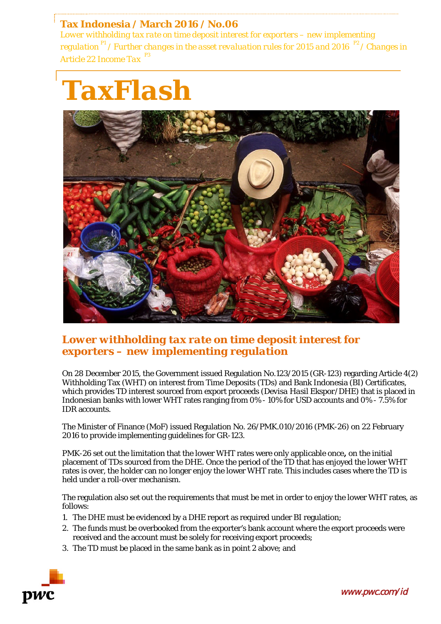**Tax Indonesia / March 2016 / No.06** *Lower withholding tax rate on time deposit interest for exporters – new implementing regulation P1* / *Further changes in the asset revaluation rules for 2015 and 2016 P2* / *Changes in Article 22 Income Tax* 

# *TaxFlash*



## *Lower withholding tax rate on time deposit interest for exporters – new implementing regulation*

On 28 December 2015, the Government issued Regulation No.123/2015 (GR-123) regarding Article 4(2) Withholding Tax (WHT) on interest from Time Deposits (TDs) and Bank Indonesia (BI) Certificates, which provides TD interest sourced from export proceeds (*Devisa Hasil Ekspor/*DHE) that is placed in Indonesian banks with lower WHT rates ranging from 0% - 10% for USD accounts and 0% - 7.5% for IDR accounts.

The Minister of Finance (MoF) issued Regulation No. 26/PMK.010/2016 (PMK-26) on 22 February 2016 to provide implementing guidelines for GR-123.

PMK-26 set out the limitation that the lower WHT rates were only applicable once**,** on the initial placement of TDs sourced from the DHE. Once the period of the TD that has enjoyed the lower WHT rates is over, the holder can no longer enjoy the lower WHT rate. This includes cases where the TD is held under a roll-over mechanism.

The regulation also set out the requirements that must be met in order to enjoy the lower WHT rates, as follows:

- 1. The DHE must be evidenced by a DHE report as required under BI regulation;
- 2. The funds must be overbooked from the exporter's bank account where the export proceeds were received and the account must be solely for receiving export proceeds;
- 3. The TD must be placed in the same bank as in point 2 above; and



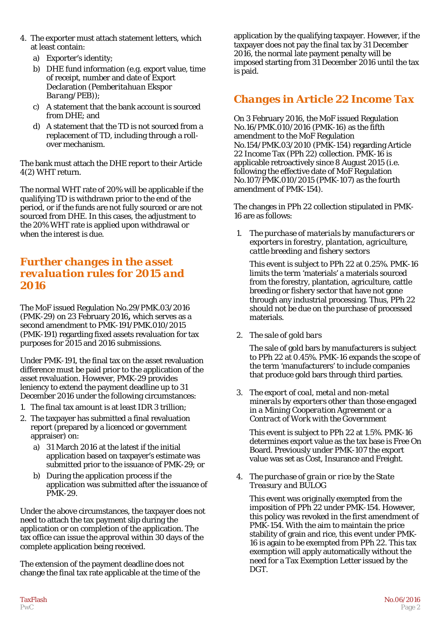- 4. The exporter must attach statement letters, which at least contain:
	- a) Exporter's identity;
	- b) DHE fund information (e.g. export value, time of receipt, number and date of Export Declaration (*Pemberitahuan Ekspor Barang/PEB*));
	- c) A statement that the bank account is sourced from DHE; and
	- d) A statement that the TD is not sourced from a replacement of TD, including through a rollover mechanism.

The bank must attach the DHE report to their Article 4(2) WHT return.

The normal WHT rate of 20% will be applicable if the qualifying TD is withdrawn prior to the end of the period, or if the funds are not fully sourced or are not sourced from DHE. In this cases, the adjustment to the 20% WHT rate is applied upon withdrawal or when the interest is due.

### *Further changes in the asset revaluation rules for 2015 and 2016*

The MoF issued Regulation No.29/PMK.03/2016 (PMK-29) on 23 February 2016**,** which serves as a second amendment to PMK-191/PMK.010/2015 (PMK-191) regarding fixed assets revaluation for tax purposes for 2015 and 2016 submissions.

Under PMK-191, the final tax on the asset revaluation difference must be paid prior to the application of the asset revaluation. However, PMK-29 provides leniency to extend the payment deadline up to 31 December 2016 under the following circumstances:

- 1. The final tax amount is at least IDR 3 trillion;
- 2. The taxpayer has submitted a final revaluation report (prepared by a licenced or government appraiser) on:
	- a) 31 March 2016 at the latest if the initial application based on taxpayer's estimate was submitted prior to the issuance of PMK-29; or
	- b) During the application process if the application was submitted after the issuance of PMK-29.

Under the above circumstances, the taxpayer does not need to attach the tax payment slip during the application or on completion of the application. The tax office can issue the approval within 30 days of the complete application being received.

The extension of the payment deadline does not change the final tax rate applicable at the time of the application by the qualifying taxpayer. However, if the taxpayer does not pay the final tax by 31 December 2016, the normal late payment penalty will be imposed starting from 31 December 2016 until the tax is paid.

# *Changes in Article 22 Income Tax*

On 3 February 2016, the MoF issued Regulation No.16/PMK.010/2016 (PMK-16) as the fifth amendment to the MoF Regulation No.154/PMK.03/2010 (PMK-154) regarding Article 22 Income Tax (*PPh 22*) collection. PMK-16 is applicable retroactively since 8 August 2015 (i.e. following the effective date of MoF Regulation No.107/PMK.010/2015 (PMK-107) as the fourth amendment of PMK-154).

The changes in PPh 22 collection stipulated in PMK-16 are as follows:

1. *The purchase of materials by manufacturers or exporters in forestry, plantation, agriculture, cattle breeding and fishery sectors*

This event is subject to PPh 22 at 0.25%. PMK-16 limits the term 'materials' a materials sourced from the forestry, plantation, agriculture, cattle breeding or fishery sector that have not gone through any industrial processing. Thus, PPh 22 should not be due on the purchase of processed materials.

2. *The sale of gold bars*

The sale of gold bars by manufacturers is subject to PPh 22 at 0.45%. PMK-16 expands the scope of the term 'manufacturers' to include companies that produce gold bars through third parties.

3. *The export of coal, metal and non-metal minerals by exporters other than those engaged in a Mining Cooperation Agreement or a Contract of Work with the Government*

This event is subject to PPh 22 at 1.5%. PMK-16 determines export value as the tax base is Free On Board. Previously under PMK-107 the export value was set as Cost, Insurance and Freight.

4. *The purchase of grain or rice by the State Treasury and BULOG*

This event was originally exempted from the imposition of PPh 22 under PMK-154. However, this policy was revoked in the first amendment of PMK-154. With the aim to maintain the price stability of grain and rice, this event under PMK-16 is again to be exempted from PPh 22. This tax exemption will apply automatically without the need for a Tax Exemption Letter issued by the DGT.